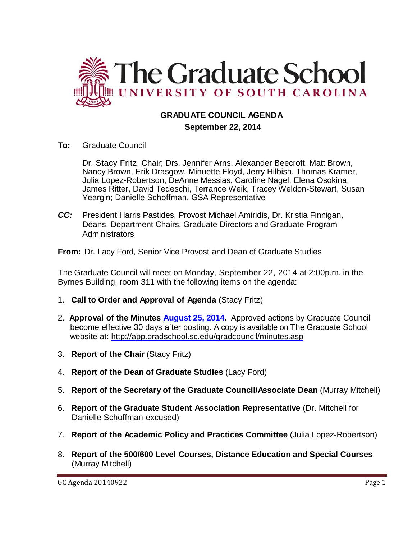

# **GRADUATE COUNCIL AGENDA September 22, 2014**

**To:** Graduate Council

Dr. Stacy Fritz, Chair; Drs. Jennifer Arns, Alexander Beecroft, Matt Brown, Nancy Brown, Erik Drasgow, Minuette Floyd, Jerry Hilbish, Thomas Kramer, Julia Lopez-Robertson, DeAnne Messias, Caroline Nagel, Elena Osokina, James Ritter, David Tedeschi, Terrance Weik, Tracey Weldon-Stewart, Susan Yeargin; Danielle Schoffman, GSA Representative

*CC:* President Harris Pastides, Provost Michael Amiridis, Dr. Kristia Finnigan, Deans, Department Chairs, Graduate Directors and Graduate Program Administrators

**From:** Dr. Lacy Ford, Senior Vice Provost and Dean of Graduate Studies

The Graduate Council will meet on Monday, September 22, 2014 at 2:00p.m. in the Byrnes Building, room 311 with the following items on the agenda:

- 1. **Call to Order and Approval of Agenda** (Stacy Fritz)
- 2. **Approval of the Minutes [August 25, 2014.](http://gradschool.sc.edu/facstaff/gradcouncil/2014/GC%20Minutes%208-25-14mm%20w%20attachments3.pdf)** Approved actions by Graduate Council become effective 30 days after posting. A copy is available on The Graduate School website at:<http://app.gradschool.sc.edu/gradcouncil/minutes.asp>
- 3. **Report of the Chair** (Stacy Fritz)
- 4. **Report of the Dean of Graduate Studies** (Lacy Ford)
- 5. **Report of the Secretary of the Graduate Council/Associate Dean** (Murray Mitchell)
- 6. **Report of the Graduate Student Association Representative** (Dr. Mitchell for Danielle Schoffman-excused)
- 7. **Report of the Academic Policy and Practices Committee** (Julia Lopez-Robertson)
- 8. **Report of the 500/600 Level Courses, Distance Education and Special Courses** (Murray Mitchell)

GC Agenda 20140922 Page 1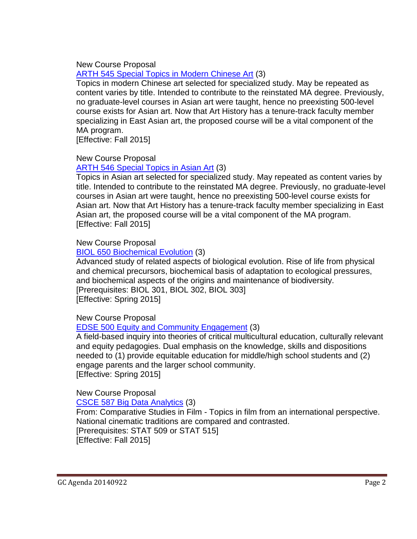New Course Proposal

ARTH 545 [Special Topics in Modern Chinese Art](http://gradschool.sc.edu/facstaff/gradcouncil/2014/ARTH%20545_Redacted.pdf) (3)

Topics in modern Chinese art selected for specialized study. May be repeated as content varies by title. Intended to contribute to the reinstated MA degree. Previously, no graduate-level courses in Asian art were taught, hence no preexisting 500-level course exists for Asian art. Now that Art History has a tenure-track faculty member specializing in East Asian art, the proposed course will be a vital component of the MA program.

[Effective: Fall 2015]

## New Course Proposal

## ARTH 546 [Special Topics in Asian Art](http://gradschool.sc.edu/facstaff/gradcouncil/2014/ARTH%20546_Redacted.pdf) (3)

Topics in Asian art selected for specialized study. May repeated as content varies by title. Intended to contribute to the reinstated MA degree. Previously, no graduate-level courses in Asian art were taught, hence no preexisting 500-level course exists for Asian art. Now that Art History has a tenure-track faculty member specializing in East Asian art, the proposed course will be a vital component of the MA program. [Effective: Fall 2015]

## New Course Proposal

## BIOL 650 [Biochemical Evolution](http://gradschool.sc.edu/facstaff/gradcouncil/2014/BIOL%20650_Redacted.pdf) (3)

Advanced study of related aspects of biological evolution. Rise of life from physical and chemical precursors, biochemical basis of adaptation to ecological pressures, and biochemical aspects of the origins and maintenance of biodiversity. [Prerequisites: BIOL 301, BIOL 302, BIOL 303] [Effective: Spring 2015]

New Course Proposal

# EDSE 500 [Equity and Community Engagement](http://gradschool.sc.edu/facstaff/gradcouncil/2014/EDSE%20500_Redacted.pdf) (3)

A field-based inquiry into theories of critical multicultural education, culturally relevant and equity pedagogies. Dual emphasis on the knowledge, skills and dispositions needed to (1) provide equitable education for middle/high school students and (2) engage parents and the larger school community. [Effective: Spring 2015]

## New Course Proposal

CSCE 587 [Big Data Analytics](http://gradschool.sc.edu/facstaff/gradcouncil/2014/CSCE%20587_Redacted.pdf) (3)

From: Comparative Studies in Film - Topics in film from an international perspective. National cinematic traditions are compared and contrasted. [Prerequisites: STAT 509 or STAT 515] [Effective: Fall 2015]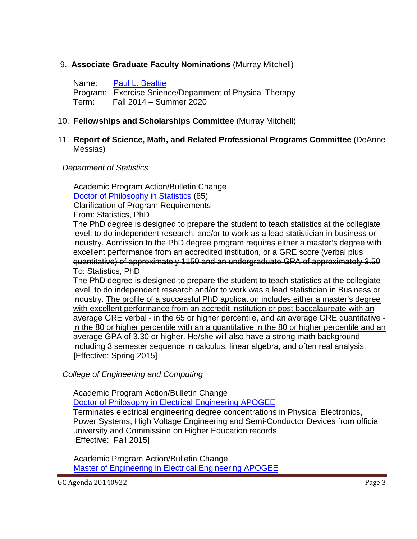## 9. **Associate Graduate Faculty Nominations** (Murray Mitchell)

Name: [Paul L. Beattie](http://gradschool.sc.edu/facstaff/gradcouncil/2014/Beattie,%20Paul%20L.pdf) Program: Exercise Science/Department of Physical Therapy Term: Fall 2014 – Summer 2020

## 10. **Fellowships and Scholarships Committee** (Murray Mitchell)

#### 11. **Report of Science, Math, and Related Professional Programs Committee** (DeAnne Messias)

#### *Department of Statistics*

 Academic Program Action/Bulletin Change [Doctor of Philosophy in Statistics](http://gradschool.sc.edu/facstaff/gradcouncil/2014/APA%20Statistics%20Doctor%20of%20Philosophy_Redacted.pdf) (65) Clarification of Program Requirements

From: Statistics, PhD

The PhD degree is designed to prepare the student to teach statistics at the collegiate level, to do independent research, and/or to work as a lead statistician in business or industry. Admission to the PhD degree program requires either a master's degree with excellent performance from an accredited institution, or a GRE score (verbal plus quantitative) of approximately 1150 and an undergraduate GPA of approximately 3.50 To: Statistics, PhD

The PhD degree is designed to prepare the student to teach statistics at the collegiate level, to do independent research and/or to work was a lead statistician in Business or industry. The profile of a successful PhD application includes either a master's degree with excellent performance from an accredit institution or post baccalaureate with an average GRE verbal - in the 65 or higher percentile, and an average GRE quantitative in the 80 or higher percentile with an a quantitative in the 80 or higher percentile and an average GPA of 3.30 or higher. He/she will also have a strong math background including 3 semester sequence in calculus, linear algebra, and often real analysis. [Effective: Spring 2015]

 *College of Engineering and Computing*

Academic Program Action/Bulletin Change

[Doctor of Philosophy in Electrical Engineering APOGEE](http://gradschool.sc.edu/facstaff/gradcouncil/2014/APA%20Terminating%20Unused%20Concentrations%20in%20PhD%20APOGEE%20Electrical%20Engineering.pdf)

Terminates electrical engineering degree concentrations in Physical Electronics, Power Systems, High Voltage Engineering and Semi-Conductor Devices from official university and Commission on Higher Education records. [Effective: Fall 2015]

 Academic Program Action/Bulletin Change  [Master of Engineering in Electrical Engineering APOGEE](http://gradschool.sc.edu/facstaff/gradcouncil/2014/APA%20Terminating%20Unused%20Concentrations%20in%20ME%20APOGEE%20Electrical%20Engineering1.pdf)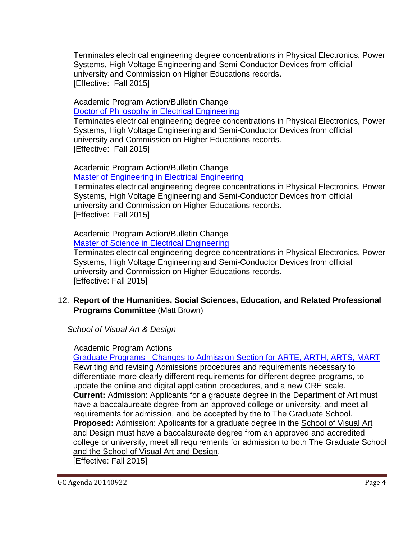Terminates electrical engineering degree concentrations in Physical Electronics, Power Systems, High Voltage Engineering and Semi-Conductor Devices from official university and Commission on Higher Educations records. [Effective: Fall 2015]

# Academic Program Action/Bulletin Change

Doctor of Philosophy [in Electrical Engineering](http://gradschool.sc.edu/facstaff/gradcouncil/2014/APA%20Terminating%20Unused%20Concentrations%20in%20PhD%20Electrical%20Engineering1.pdf)

 Terminates electrical engineering degree concentrations in Physical Electronics, Power Systems, High Voltage Engineering and Semi-Conductor Devices from official university and Commission on Higher Educations records. [Effective: Fall 2015]

 Academic Program Action/Bulletin Change Master of [Engineering in Electrical Engineering](http://gradschool.sc.edu/facstaff/gradcouncil/2014/APA%20Terminating%20Unused%20Concentrations%20in%20ME%20Electrical%20Engineering1.pdf)

 Terminates electrical engineering degree concentrations in Physical Electronics, Power Systems, High Voltage Engineering and Semi-Conductor Devices from official university and Commission on Higher Educations records. [Effective: Fall 2015]

 Academic Program Action/Bulletin Change Master of Science [in Electrical Engineering](http://gradschool.sc.edu/facstaff/gradcouncil/2014/APA%20Terminating%20Unused%20Concentrations%20in%20MS%20Electrical%20Engineering1.pdf)

 Terminates electrical engineering degree concentrations in Physical Electronics, Power Systems, High Voltage Engineering and Semi-Conductor Devices from official university and Commission on Higher Educations records. [Effective: Fall 2015]

12. **Report of the Humanities, Social Sciences, Education, and Related Professional Programs Committee** (Matt Brown)

 *School of Visual Art & Design*

# Academic Program Actions

Graduate Programs - [Changes to Admission Section for ARTE, ARTH, ARTS, MART](http://gradschool.sc.edu/facstaff/gradcouncil/2014/School%20of%20VA&D%20APA%20Revised%20-%20change%20to%20admissions_Redacted.pdf) Rewriting and revising Admissions procedures and requirements necessary to differentiate more clearly different requirements for different degree programs, to update the online and digital application procedures, and a new GRE scale. **Current:** Admission: Applicants for a graduate degree in the Department of Art must have a baccalaureate degree from an approved college or university, and meet all requirements for admission, and be accepted by the to The Graduate School. **Proposed:** Admission: Applicants for a graduate degree in the School of Visual Art and Design must have a baccalaureate degree from an approved and accredited college or university, meet all requirements for admission to both The Graduate School and the School of Visual Art and Design.

[Effective: Fall 2015]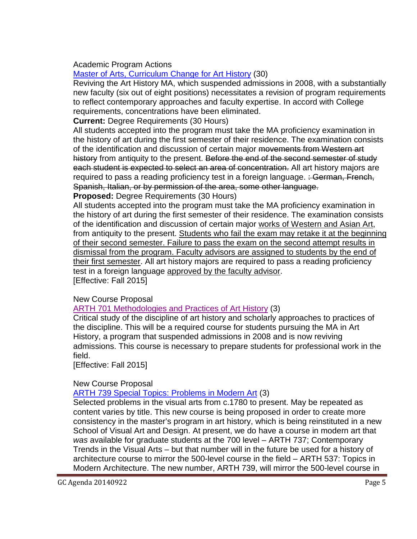## Academic Program Actions

# [Master of Arts, Curriculum Change for Art History](http://gradschool.sc.edu/facstaff/gradcouncil/2014/ARTH%20MA%20curr%20change%20for%202015-2016%20revised%20September%2018%202014_Redacted.pdf) (30)

Reviving the Art History MA, which suspended admissions in 2008, with a substantially new faculty (six out of eight positions) necessitates a revision of program requirements to reflect contemporary approaches and faculty expertise. In accord with College requirements, concentrations have been eliminated.

**Current:** Degree Requirements (30 Hours)

All students accepted into the program must take the MA proficiency examination in the history of art during the first semester of their residence. The examination consists of the identification and discussion of certain major movements from Western art history from antiquity to the present. Before the end of the second semester of study each student is expected to select an area of concentration. All art history majors are required to pass a reading proficiency test in a foreign language. : German, French, Spanish, Italian, or by permission of the area, some other language.

**Proposed:** Degree Requirements (30 Hours)

All students accepted into the program must take the MA proficiency examination in the history of art during the first semester of their residence. The examination consists of the identification and discussion of certain major works of Western and Asian Art, from antiquity to the present. Students who fail the exam may retake it at the beginning of their second semester. Failure to pass the exam on the second attempt results in dismissal from the program. Faculty advisors are assigned to students by the end of their first semester. All art history majors are required to pass a reading proficiency test in a foreign language approved by the faculty advisor. [Effective: Fall 2015]

New Course Proposal

[ARTH 701 Methodologies and Practices of Art History](http://gradschool.sc.edu/facstaff/gradcouncil/2014/ARTH%20701%20NCP%20revised%20September%2018%202014_Redacted.pdf) (3)

Critical study of the discipline of art history and scholarly approaches to practices of the discipline. This will be a required course for students pursuing the MA in Art History, a program that suspended admissions in 2008 and is now reviving admissions. This course is necessary to prepare students for professional work in the field.

[Effective: Fall 2015]

## New Course Proposal

[ARTH 739 Special Topics: Problems in Modern Art](http://gradschool.sc.edu/facstaff/gradcouncil/2014/ARTH%20739%20NCP%20revised%20September%2018%202014_Redacted.pdf) (3)

Selected problems in the visual arts from c.1780 to present. May be repeated as content varies by title. This new course is being proposed in order to create more consistency in the master's program in art history, which is being reinstituted in a new School of Visual Art and Design. At present, we do have a course in modern art that *was* available for graduate students at the 700 level – ARTH 737; Contemporary Trends in the Visual Arts – but that number will in the future be used for a history of architecture course to mirror the 500-level course in the field – ARTH 537: Topics in Modern Architecture. The new number, ARTH 739, will mirror the 500-level course in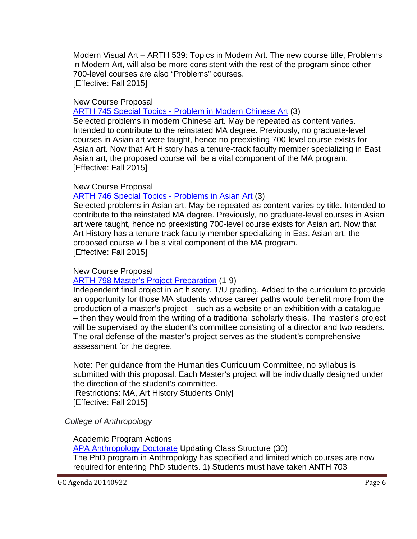Modern Visual Art – ARTH 539: Topics in Modern Art. The new course title, Problems in Modern Art, will also be more consistent with the rest of the program since other 700-level courses are also "Problems" courses. [Effective: Fall 2015]

#### New Course Proposal

ARTH 745 Special Topics - [Problem in Modern Chinese Art](http://gradschool.sc.edu/facstaff/gradcouncil/2014/ARTH%20745%20NCP%20corrected%20September%2018%202014_Redacted.pdf) (3)

Selected problems in modern Chinese art. May be repeated as content varies. Intended to contribute to the reinstated MA degree. Previously, no graduate-level courses in Asian art were taught, hence no preexisting 700-level course exists for Asian art. Now that Art History has a tenure-track faculty member specializing in East Asian art, the proposed course will be a vital component of the MA program. [Effective: Fall 2015]

#### New Course Proposal

## [ARTH 746 Special Topics -](http://gradschool.sc.edu/facstaff/gradcouncil/2014/ARTH%20746%20NCP%20Special%20Topics%20Probs%20Asian%20Art_Redacted.pdf) Problems in Asian Art (3)

Selected problems in Asian art. May be repeated as content varies by title. Intended to contribute to the reinstated MA degree. Previously, no graduate-level courses in Asian art were taught, hence no preexisting 700-level course exists for Asian art. Now that Art History has a tenure-track faculty member specializing in East Asian art, the proposed course will be a vital component of the MA program. [Effective: Fall 2015]

#### New Course Proposal

#### [ARTH 798 Master's Project Preparation](http://gradschool.sc.edu/facstaff/gradcouncil/2014/ARTH%20798%20NCP%20September%2018%202014_Redacted.pdf) (1-9)

Independent final project in art history. T/U grading. Added to the curriculum to provide an opportunity for those MA students whose career paths would benefit more from the production of a master's project – such as a website or an exhibition with a catalogue – then they would from the writing of a traditional scholarly thesis. The master's project will be supervised by the student's committee consisting of a director and two readers. The oral defense of the master's project serves as the student's comprehensive assessment for the degree.

Note: Per guidance from the Humanities Curriculum Committee, no syllabus is submitted with this proposal. Each Master's project will be individually designed under the direction of the student's committee.

[Restrictions: MA, Art History Students Only] [Effective: Fall 2015]

#### *College of Anthropology*

#### Academic Program Actions

APA Anthropology Doctorate Updating Class Structure (30) The PhD program in Anthropology has specified and limited which courses are now required for entering PhD students. 1) Students must have taken ANTH 703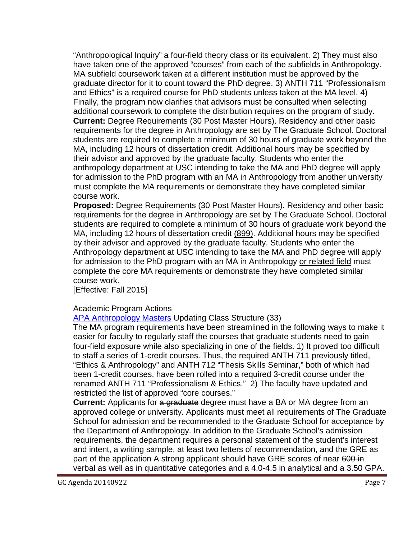"Anthropological Inquiry" a four-field theory class or its equivalent. 2) They must also have taken one of the approved "courses" from each of the subfields in Anthropology. MA subfield coursework taken at a different institution must be approved by the graduate director for it to count toward the PhD degree. 3) ANTH 711 "Professionalism and Ethics" is a required course for PhD students unless taken at the MA level. 4) Finally, the program now clarifies that advisors must be consulted when selecting additional coursework to complete the distribution requires on the program of study. **Current:** Degree Requirements (30 Post Master Hours). Residency and other basic requirements for the degree in Anthropology are set by The Graduate School. Doctoral students are required to complete a minimum of 30 hours of graduate work beyond the MA, including 12 hours of dissertation credit. Additional hours may be specified by their advisor and approved by the graduate faculty. Students who enter the anthropology department at USC intending to take the MA and PhD degree will apply for admission to the PhD program with an MA in Anthropology from another university must complete the MA requirements or demonstrate they have completed similar course work.

**Proposed:** Degree Requirements (30 Post Master Hours). Residency and other basic requirements for the degree in Anthropology are set by The Graduate School. Doctoral students are required to complete a minimum of 30 hours of graduate work beyond the MA, including 12 hours of dissertation credit (899). Additional hours may be specified by their advisor and approved by the graduate faculty. Students who enter the Anthropology department at USC intending to take the MA and PhD degree will apply for admission to the PhD program with an MA in Anthropology or related field must complete the core MA requirements or demonstrate they have completed similar course work.

[Effective: Fall 2015]

## Academic Program Actions

APA Anthropology Masters Updating Class Structure (33)

The MA program requirements have been streamlined in the following ways to make it easier for faculty to regularly staff the courses that graduate students need to gain four-field exposure while also specializing in one of the fields. 1) It proved too difficult to staff a series of 1-credit courses. Thus, the required ANTH 711 previously titled, "Ethics & Anthropology" and ANTH 712 "Thesis Skills Seminar," both of which had been 1-credit courses, have been rolled into a required 3-credit course under the renamed ANTH 711 "Professionalism & Ethics." 2) The faculty have updated and restricted the list of approved "core courses."

**Current:** Applicants for a graduate degree must have a BA or MA degree from an approved college or university. Applicants must meet all requirements of The Graduate School for admission and be recommended to the Graduate School for acceptance by the Department of Anthropology. In addition to the Graduate School's admission requirements, the department requires a personal statement of the student's interest and intent, a writing sample, at least two letters of recommendation, and the GRE as part of the application A strong applicant should have GRE scores of near 600 in verbal as well as in quantitative categories and a 4.0-4.5 in analytical and a 3.50 GPA.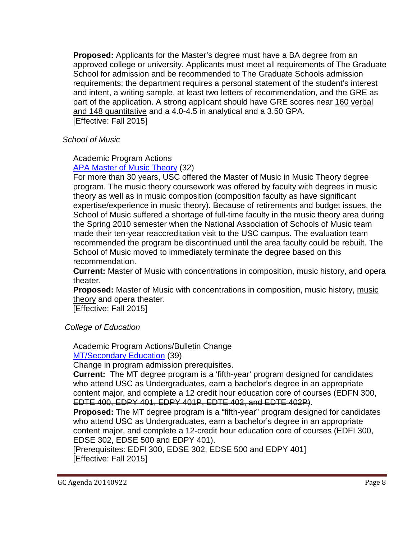**Proposed:** Applicants for the Master's degree must have a BA degree from an approved college or university. Applicants must meet all requirements of The Graduate School for admission and be recommended to The Graduate Schools admission requirements; the department requires a personal statement of the student's interest and intent, a writing sample, at least two letters of recommendation, and the GRE as part of the application. A strong applicant should have GRE scores near 160 verbal and 148 quantitative and a 4.0-4.5 in analytical and a 3.50 GPA. [Effective: Fall 2015]

 *School of Music*

# Academic Program Actions

[APA Master of Music Theory](http://gradschool.sc.edu/facstaff/gradcouncil/2014/APA%20Master%20of%20Music%20Music%20Theory%208-4-14_Redacted.pdf) (32)

For more than 30 years, USC offered the Master of Music in Music Theory degree program. The music theory coursework was offered by faculty with degrees in music theory as well as in music composition (composition faculty as have significant expertise/experience in music theory). Because of retirements and budget issues, the School of Music suffered a shortage of full-time faculty in the music theory area during the Spring 2010 semester when the National Association of Schools of Music team made their ten-year reaccreditation visit to the USC campus. The evaluation team recommended the program be discontinued until the area faculty could be rebuilt. The School of Music moved to immediately terminate the degree based on this recommendation.

**Current:** Master of Music with concentrations in composition, music history, and opera theater.

**Proposed:** Master of Music with concentrations in composition, music history, music theory and opera theater.

[Effective: Fall 2015]

 *College of Education*

Academic Program Actions/Bulletin Change [MT/Secondary Education](http://gradschool.sc.edu/facstaff/gradcouncil/2014/8-7%20MT-Secondary-APA-Graduate_Redacted.pdf) (39)

Change in program admission prerequisites.

**Current:** The MT degree program is a 'fifth-year' program designed for candidates who attend USC as Undergraduates, earn a bachelor's degree in an appropriate content major, and complete a 12 credit hour education core of courses (EDFN 300, EDTE 400, EDPY 401, EDPY 401P, EDTE 402, and EDTE 402P).

**Proposed:** The MT degree program is a "fifth-year" program designed for candidates who attend USC as Undergraduates, earn a bachelor's degree in an appropriate content major, and complete a 12-credit hour education core of courses (EDFI 300, EDSE 302, EDSE 500 and EDPY 401).

[Prerequisites: EDFI 300, EDSE 302, EDSE 500 and EDPY 401] [Effective: Fall 2015]